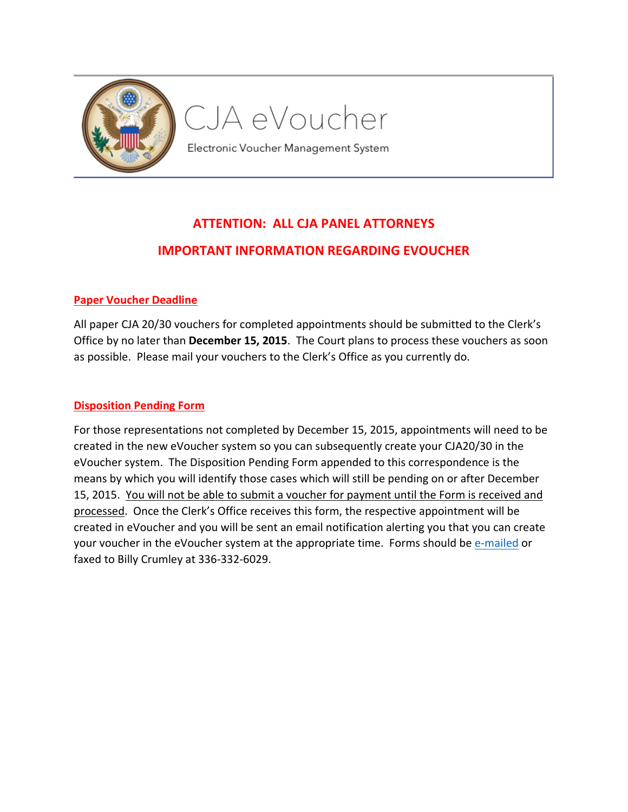

# CJA eVoucher

Electronic Voucher Management System

## **ATTENTION: ALL CJA PANEL ATTORNEYS IMPORTANT INFORMATION REGARDING EVOUCHER**

#### **Paper Voucher Deadline**

All paper CJA 20/30 vouchers for completed appointments should be submitted to the Clerk's Office by no later than **December 15, 2015**. The Court plans to process these vouchers as soon as possible. Please mail your vouchers to the Clerk's Office as you currently do.

#### **Disposition Pending Form**

For those representations not completed by December 15, 2015, appointments will need to be created in the new eVoucher system so you can subsequently create your CJA20/30 in the eVoucher system. The Disposition Pending Form appended to this correspondence is the means by which you will identify those cases which will still be pending on or after December 15, 2015. You will not be able to submit a voucher for payment until the Form is received and processed. Once the Clerk's Office receives this form, the respective appointment will be created in eVoucher and you will be sent an email notification alerting you that you can create your voucher in the eVoucher system at the appropriate time. Forms should be [e-mailed](mailto:billy_crumley@ncmd.uscourts.gov) or faxed to Billy Crumley at 336-332-6029.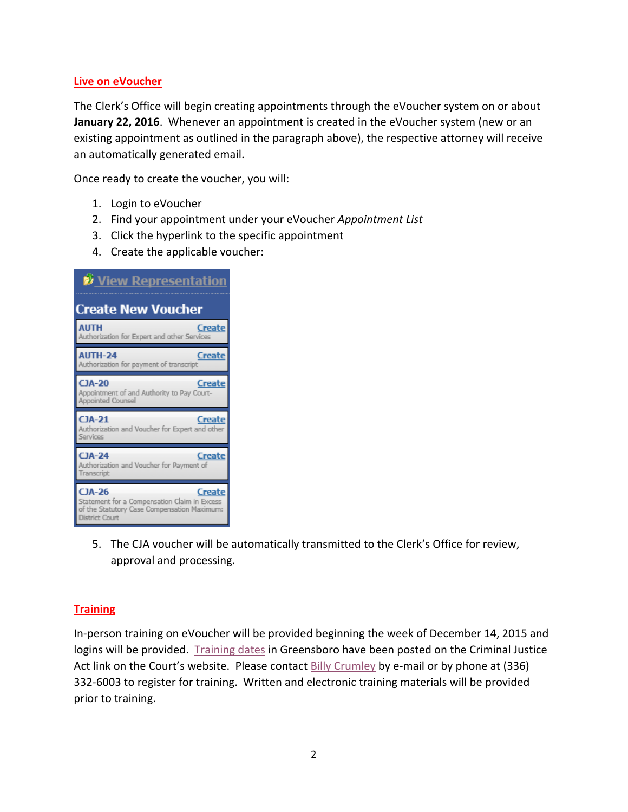#### **Live on eVoucher**

The Clerk's Office will begin creating appointments through the eVoucher system on or about **January 22, 2016**. Whenever an appointment is created in the eVoucher system (new or an existing appointment as outlined in the paragraph above), the respective attorney will receive an automatically generated email.

Once ready to create the voucher, you will:

- 1. Login to eVoucher
- 2. Find your appointment under your eVoucher *Appointment List*
- 3. Click the hyperlink to the specific appointment
- 4. Create the applicable voucher:



5. The CJA voucher will be automatically transmitted to the Clerk's Office for review, approval and processing.

#### **Training**

In-person training on eVoucher will be provided beginning the week of December 14, 2015 and logins will be provided. [Training dates](http://www.ncmd.uscourts.gov/sites/ncmd/files/eCJA_Training.pdf) in Greensboro have been posted on the Criminal Justice Act link on the Court's website. Please contact [Billy Crumley](mailto:billy_crumley@ncmd.uscourts.gov) by e-mail or by phone at (336) 332-6003 to register for training. Written and electronic training materials will be provided prior to training.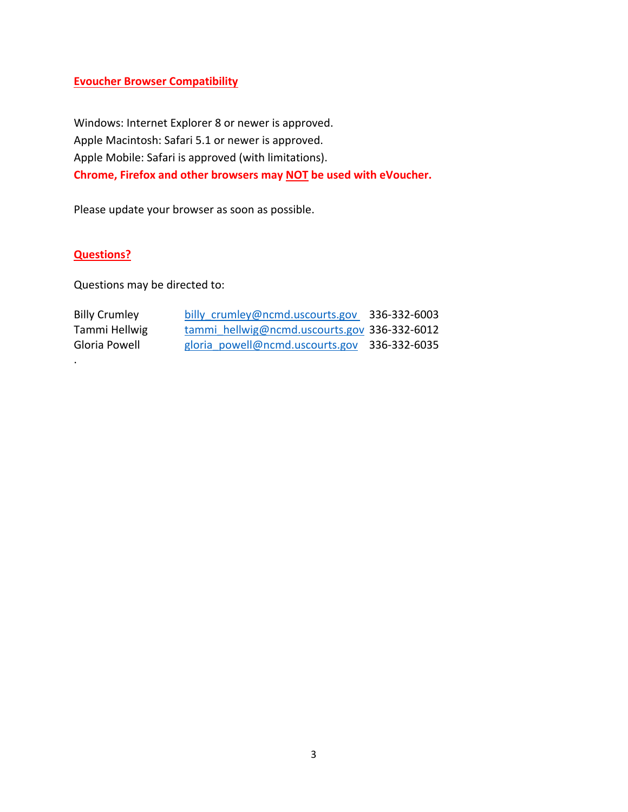#### **Evoucher Browser Compatibility**

Windows: Internet Explorer 8 or newer is approved. Apple Macintosh: Safari 5.1 or newer is approved. Apple Mobile: Safari is approved (with limitations). **Chrome, Firefox and other browsers may NOT be used with eVoucher.**

Please update your browser as soon as possible.

#### **Questions?**

.

Questions may be directed to:

| <b>Billy Crumley</b> | billy crumley@ncmd.uscourts.gov 336-332-6003 |  |
|----------------------|----------------------------------------------|--|
| Tammi Hellwig        | tammi hellwig@ncmd.uscourts.gov 336-332-6012 |  |
| Gloria Powell        | gloria powell@ncmd.uscourts.gov 336-332-6035 |  |